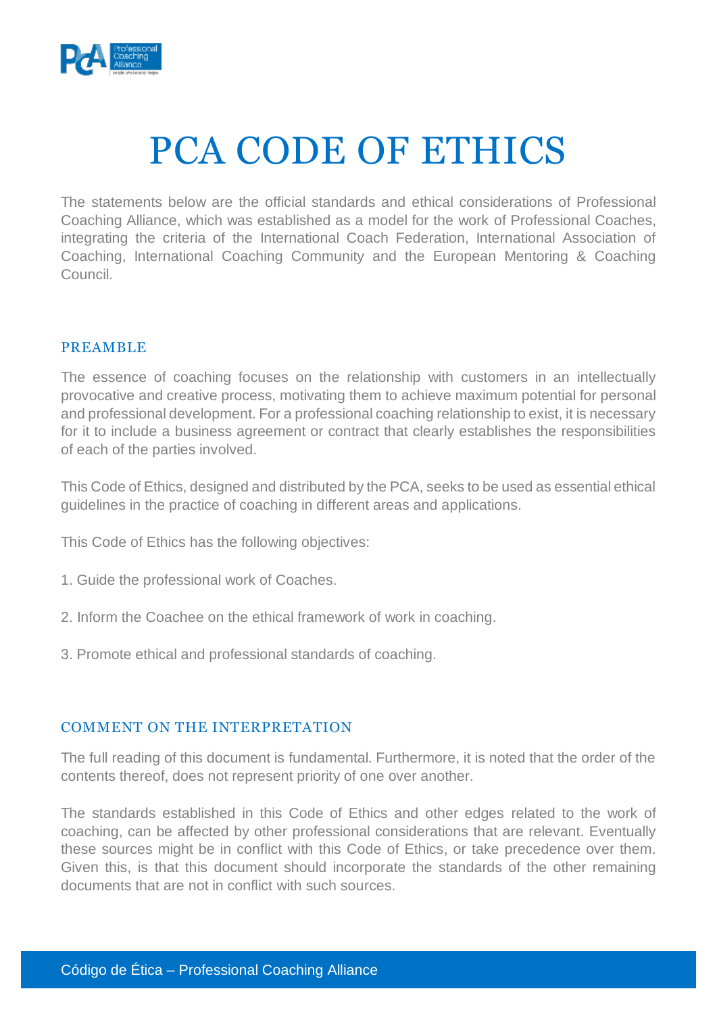

# PCA CODE OF ETHICS

The statements below are the official standards and ethical considerations of Professional Coaching Alliance, which was established as a model for the work of Professional Coaches, integrating the criteria of the International Coach Federation, International Association of Coaching, International Coaching Community and the European Mentoring & Coaching Council.

# PREAMBLE

The essence of coaching focuses on the relationship with customers in an intellectually provocative and creative process, motivating them to achieve maximum potential for personal and professional development. For a professional coaching relationship to exist, it is necessary for it to include a business agreement or contract that clearly establishes the responsibilities of each of the parties involved.

This Code of Ethics, designed and distributed by the PCA, seeks to be used as essential ethical guidelines in the practice of coaching in different areas and applications.

This Code of Ethics has the following objectives:

- 1. Guide the professional work of Coaches.
- 2. Inform the Coachee on the ethical framework of work in coaching.
- 3. Promote ethical and professional standards of coaching.

## COMMENT ON THE INTERPRETATION

The full reading of this document is fundamental. Furthermore, it is noted that the order of the contents thereof, does not represent priority of one over another.

The standards established in this Code of Ethics and other edges related to the work of coaching, can be affected by other professional considerations that are relevant. Eventually these sources might be in conflict with this Code of Ethics, or take precedence over them. Given this, is that this document should incorporate the standards of the other remaining documents that are not in conflict with such sources.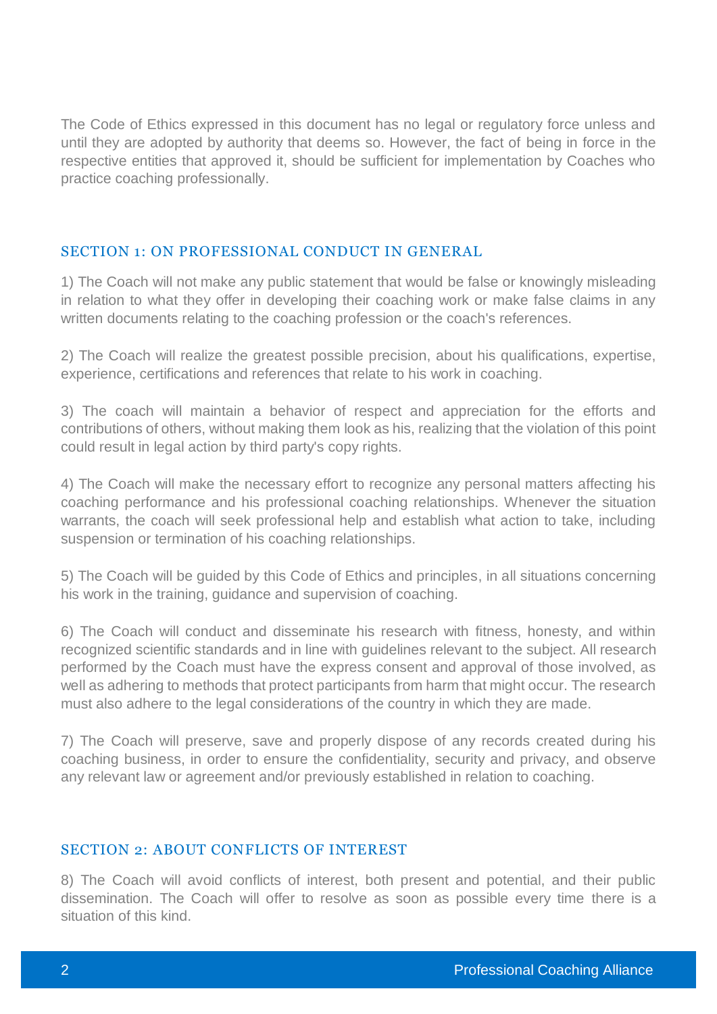The Code of Ethics expressed in this document has no legal or regulatory force unless and until they are adopted by authority that deems so. However, the fact of being in force in the respective entities that approved it, should be sufficient for implementation by Coaches who practice coaching professionally.

#### SECTION 1: ON PROFESSIONAL CONDUCT IN GENERAL

1) The Coach will not make any public statement that would be false or knowingly misleading in relation to what they offer in developing their coaching work or make false claims in any written documents relating to the coaching profession or the coach's references.

2) The Coach will realize the greatest possible precision, about his qualifications, expertise, experience, certifications and references that relate to his work in coaching.

3) The coach will maintain a behavior of respect and appreciation for the efforts and contributions of others, without making them look as his, realizing that the violation of this point could result in legal action by third party's copy rights.

4) The Coach will make the necessary effort to recognize any personal matters affecting his coaching performance and his professional coaching relationships. Whenever the situation warrants, the coach will seek professional help and establish what action to take, including suspension or termination of his coaching relationships.

5) The Coach will be guided by this Code of Ethics and principles, in all situations concerning his work in the training, guidance and supervision of coaching.

6) The Coach will conduct and disseminate his research with fitness, honesty, and within recognized scientific standards and in line with guidelines relevant to the subject. All research performed by the Coach must have the express consent and approval of those involved, as well as adhering to methods that protect participants from harm that might occur. The research must also adhere to the legal considerations of the country in which they are made.

7) The Coach will preserve, save and properly dispose of any records created during his coaching business, in order to ensure the confidentiality, security and privacy, and observe any relevant law or agreement and/or previously established in relation to coaching.

#### SECTION 2: ABOUT CONFLICTS OF INTEREST

8) The Coach will avoid conflicts of interest, both present and potential, and their public dissemination. The Coach will offer to resolve as soon as possible every time there is a situation of this kind.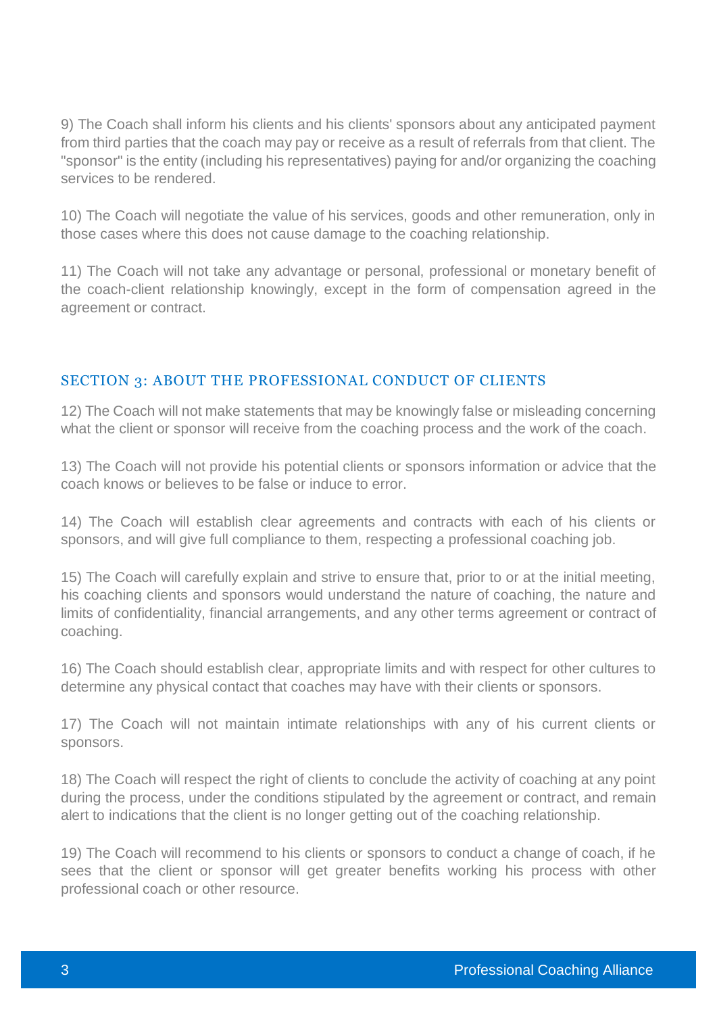9) The Coach shall inform his clients and his clients' sponsors about any anticipated payment from third parties that the coach may pay or receive as a result of referrals from that client. The "sponsor" is the entity (including his representatives) paying for and/or organizing the coaching services to be rendered.

10) The Coach will negotiate the value of his services, goods and other remuneration, only in those cases where this does not cause damage to the coaching relationship.

11) The Coach will not take any advantage or personal, professional or monetary benefit of the coach-client relationship knowingly, except in the form of compensation agreed in the agreement or contract.

# SECTION 3: ABOUT THE PROFESSIONAL CONDUCT OF CLIENTS

12) The Coach will not make statements that may be knowingly false or misleading concerning what the client or sponsor will receive from the coaching process and the work of the coach.

13) The Coach will not provide his potential clients or sponsors information or advice that the coach knows or believes to be false or induce to error.

14) The Coach will establish clear agreements and contracts with each of his clients or sponsors, and will give full compliance to them, respecting a professional coaching job.

15) The Coach will carefully explain and strive to ensure that, prior to or at the initial meeting, his coaching clients and sponsors would understand the nature of coaching, the nature and limits of confidentiality, financial arrangements, and any other terms agreement or contract of coaching.

16) The Coach should establish clear, appropriate limits and with respect for other cultures to determine any physical contact that coaches may have with their clients or sponsors.

17) The Coach will not maintain intimate relationships with any of his current clients or sponsors.

18) The Coach will respect the right of clients to conclude the activity of coaching at any point during the process, under the conditions stipulated by the agreement or contract, and remain alert to indications that the client is no longer getting out of the coaching relationship.

19) The Coach will recommend to his clients or sponsors to conduct a change of coach, if he sees that the client or sponsor will get greater benefits working his process with other professional coach or other resource.